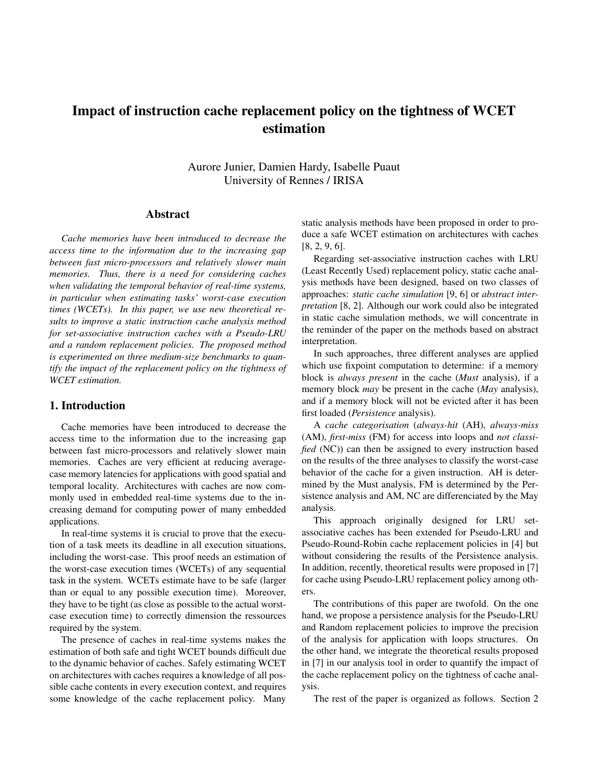# Impact of instruction cache replacement policy on the tightness of WCET estimation

Aurore Junier, Damien Hardy, Isabelle Puaut University of Rennes / IRISA

## Abstract

*Cache memories have been introduced to decrease the access time to the information due to the increasing gap between fast micro-processors and relatively slower main memories. Thus, there is a need for considering caches when validating the temporal behavior of real-time systems, in particular when estimating tasks' worst-case execution times (WCETs). In this paper, we use new theoretical results to improve a static instruction cache analysis method for set-associative instruction caches with a Pseudo-LRU and a random replacement policies. The proposed method is experimented on three medium-size benchmarks to quantify the impact of the replacement policy on the tightness of WCET estimation.*

## 1. Introduction

Cache memories have been introduced to decrease the access time to the information due to the increasing gap between fast micro-processors and relatively slower main memories. Caches are very efficient at reducing averagecase memory latencies for applications with good spatial and temporal locality. Architectures with caches are now commonly used in embedded real-time systems due to the increasing demand for computing power of many embedded applications.

In real-time systems it is crucial to prove that the execution of a task meets its deadline in all execution situations, including the worst-case. This proof needs an estimation of the worst-case execution times (WCETs) of any sequential task in the system. WCETs estimate have to be safe (larger than or equal to any possible execution time). Moreover, they have to be tight (as close as possible to the actual worstcase execution time) to correctly dimension the ressources required by the system.

The presence of caches in real-time systems makes the estimation of both safe and tight WCET bounds difficult due to the dynamic behavior of caches. Safely estimating WCET on architectures with caches requires a knowledge of all possible cache contents in every execution context, and requires some knowledge of the cache replacement policy. Many static analysis methods have been proposed in order to produce a safe WCET estimation on architectures with caches [8, 2, 9, 6].

Regarding set-associative instruction caches with LRU (Least Recently Used) replacement policy, static cache analysis methods have been designed, based on two classes of approaches: *static cache simulation* [9, 6] or *abstract interpretation* [8, 2]. Although our work could also be integrated in static cache simulation methods, we will concentrate in the reminder of the paper on the methods based on abstract interpretation.

In such approaches, three different analyses are applied which use fixpoint computation to determine: if a memory block is *always present* in the cache (*Must* analysis), if a memory block *may* be present in the cache (*May* analysis), and if a memory block will not be evicted after it has been first loaded (*Persistence* analysis).

A *cache categorisation* (*always-hit* (AH), *always-miss* (AM), *first-miss* (FM) for access into loops and *not classified* (NC)) can then be assigned to every instruction based on the results of the three analyses to classify the worst-case behavior of the cache for a given instruction. AH is determined by the Must analysis, FM is determined by the Persistence analysis and AM, NC are differenciated by the May analysis.

This approach originally designed for LRU setassociative caches has been extended for Pseudo-LRU and Pseudo-Round-Robin cache replacement policies in [4] but without considering the results of the Persistence analysis. In addition, recently, theoretical results were proposed in [7] for cache using Pseudo-LRU replacement policy among others.

The contributions of this paper are twofold. On the one hand, we propose a persistence analysis for the Pseudo-LRU and Random replacement policies to improve the precision of the analysis for application with loops structures. On the other hand, we integrate the theoretical results proposed in [7] in our analysis tool in order to quantify the impact of the cache replacement policy on the tightness of cache analysis.

The rest of the paper is organized as follows. Section 2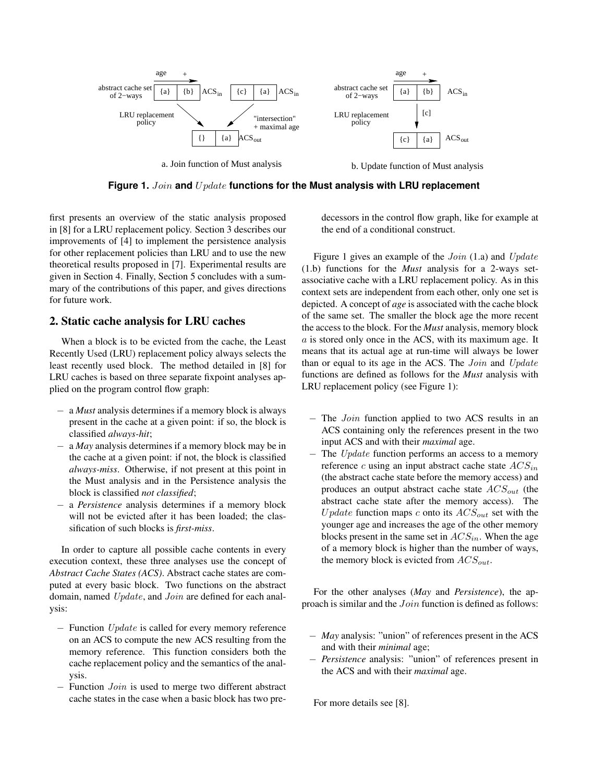

**Figure 1.** Join **and** U pdate **functions for the Must analysis with LRU replacement**

first presents an overview of the static analysis proposed in [8] for a LRU replacement policy. Section 3 describes our improvements of [4] to implement the persistence analysis for other replacement policies than LRU and to use the new theoretical results proposed in [7]. Experimental results are given in Section 4. Finally, Section 5 concludes with a summary of the contributions of this paper, and gives directions for future work.

# 2. Static cache analysis for LRU caches

When a block is to be evicted from the cache, the Least Recently Used (LRU) replacement policy always selects the least recently used block. The method detailed in [8] for LRU caches is based on three separate fixpoint analyses applied on the program control flow graph:

- − a *Must* analysis determines if a memory block is always present in the cache at a given point: if so, the block is classified *always-hit*;
- − a *May* analysis determines if a memory block may be in the cache at a given point: if not, the block is classified *always-miss*. Otherwise, if not present at this point in the Must analysis and in the Persistence analysis the block is classified *not classified*;
- − a *Persistence* analysis determines if a memory block will not be evicted after it has been loaded; the classification of such blocks is *first-miss*.

In order to capture all possible cache contents in every execution context, these three analyses use the concept of *Abstract Cache States (ACS)*. Abstract cache states are computed at every basic block. Two functions on the abstract domain, named Update, and Join are defined for each analysis:

- − Function Update is called for every memory reference on an ACS to compute the new ACS resulting from the memory reference. This function considers both the cache replacement policy and the semantics of the analysis.
- Function *Join* is used to merge two different abstract cache states in the case when a basic block has two pre-

decessors in the control flow graph, like for example at the end of a conditional construct.

Figure 1 gives an example of the *Join* (1.a) and *Update* (1.b) functions for the *Must* analysis for a 2-ways setassociative cache with a LRU replacement policy. As in this context sets are independent from each other, only one set is depicted. A concept of *age* is associated with the cache block of the same set. The smaller the block age the more recent the access to the block. For the *Must* analysis, memory block  $a$  is stored only once in the ACS, with its maximum age. It means that its actual age at run-time will always be lower than or equal to its age in the ACS. The *Join* and *Update* functions are defined as follows for the *Must* analysis with LRU replacement policy (see Figure 1):

- − The Join function applied to two ACS results in an ACS containing only the references present in the two input ACS and with their *maximal* age.
- − The Update function performs an access to a memory reference c using an input abstract cache state  $ACS_{in}$ (the abstract cache state before the memory access) and produces an output abstract cache state  $ACS_{out}$  (the abstract cache state after the memory access). The U pdate function maps c onto its  $ACS_{out}$  set with the younger age and increases the age of the other memory blocks present in the same set in  $ACS_{in}$ . When the age of a memory block is higher than the number of ways, the memory block is evicted from  $ACS_{out}$ .

For the other analyses (*May* and *Persistence*), the approach is similar and the Join function is defined as follows:

- − *May* analysis: "union" of references present in the ACS and with their *minimal* age;
- − *Persistence* analysis: "union" of references present in the ACS and with their *maximal* age.

For more details see [8].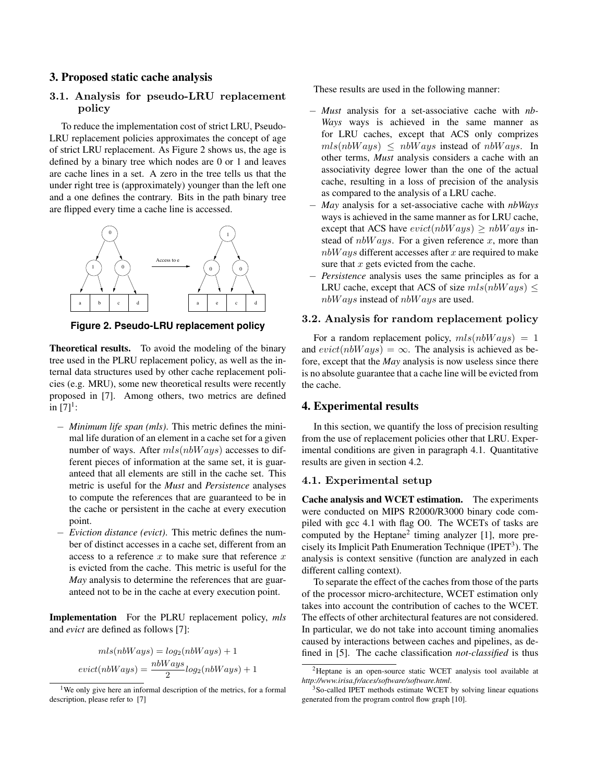## 3. Proposed static cache analysis

# 3.1. Analysis for pseudo-LRU replacement policy

To reduce the implementation cost of strict LRU, Pseudo-LRU replacement policies approximates the concept of age of strict LRU replacement. As Figure 2 shows us, the age is defined by a binary tree which nodes are 0 or 1 and leaves are cache lines in a set. A zero in the tree tells us that the under right tree is (approximately) younger than the left one and a one defines the contrary. Bits in the path binary tree are flipped every time a cache line is accessed.



**Figure 2. Pseudo-LRU replacement policy**

Theoretical results. To avoid the modeling of the binary tree used in the PLRU replacement policy, as well as the internal data structures used by other cache replacement policies (e.g. MRU), some new theoretical results were recently proposed in [7]. Among others, two metrics are defined in  $[7]^1$ :

- − *Minimum life span (mls)*. This metric defines the minimal life duration of an element in a cache set for a given number of ways. After  $mls(nbWays)$  accesses to different pieces of information at the same set, it is guaranteed that all elements are still in the cache set. This metric is useful for the *Must* and *Persistence* analyses to compute the references that are guaranteed to be in the cache or persistent in the cache at every execution point.
- − *Eviction distance (evict)*. This metric defines the number of distinct accesses in a cache set, different from an access to a reference  $x$  to make sure that reference  $x$ is evicted from the cache. This metric is useful for the *May* analysis to determine the references that are guaranteed not to be in the cache at every execution point.

Implementation For the PLRU replacement policy, *mls* and *evict* are defined as follows [7]:

$$
mls(nbWays) = log2(nbWays) + 1
$$
  
evict(nbWays) = 
$$
\frac{nbWays}{2}log2(nbWays) + 1
$$

These results are used in the following manner:

- − *Must* analysis for a set-associative cache with *nb-Ways* ways is achieved in the same manner as for LRU caches, except that ACS only comprizes  $mls(nbWays) \leq nbWays$  instead of  $nbWays$ . In other terms, *Must* analysis considers a cache with an associativity degree lower than the one of the actual cache, resulting in a loss of precision of the analysis as compared to the analysis of a LRU cache.
- − *May* analysis for a set-associative cache with *nbWays* ways is achieved in the same manner as for LRU cache, except that ACS have  $evict(nbWays) \geq nbWays$  instead of  $nbWays$ . For a given reference x, more than  $nbWays$  different accesses after x are required to make sure that  $x$  gets evicted from the cache.
- *Persistence* analysis uses the same principles as for a LRU cache, except that ACS of size  $mls(nbWays) \leq$ nbW ays instead of nbW ays are used.

#### 3.2. Analysis for random replacement policy

For a random replacement policy,  $mls(nbWays) = 1$ and  $evict(nbWays) = \infty$ . The analysis is achieved as before, except that the *May* analysis is now useless since there is no absolute guarantee that a cache line will be evicted from the cache.

# 4. Experimental results

In this section, we quantify the loss of precision resulting from the use of replacement policies other that LRU. Experimental conditions are given in paragraph 4.1. Quantitative results are given in section 4.2.

#### 4.1. Experimental setup

Cache analysis and WCET estimation. The experiments were conducted on MIPS R2000/R3000 binary code compiled with gcc 4.1 with flag O0. The WCETs of tasks are computed by the Heptane<sup>2</sup> timing analyzer  $[1]$ , more precisely its Implicit Path Enumeration Technique (IPET<sup>3</sup>). The analysis is context sensitive (function are analyzed in each different calling context).

To separate the effect of the caches from those of the parts of the processor micro-architecture, WCET estimation only takes into account the contribution of caches to the WCET. The effects of other architectural features are not considered. In particular, we do not take into account timing anomalies caused by interactions between caches and pipelines, as defined in [5]. The cache classification *not-classified* is thus

<sup>&</sup>lt;sup>1</sup>We only give here an informal description of the metrics, for a formal description, please refer to [7]

<sup>2</sup>Heptane is an open-source static WCET analysis tool available at *http://www.irisa.fr/aces/software/software.html*.

<sup>3</sup>So-called IPET methods estimate WCET by solving linear equations generated from the program control flow graph [10].